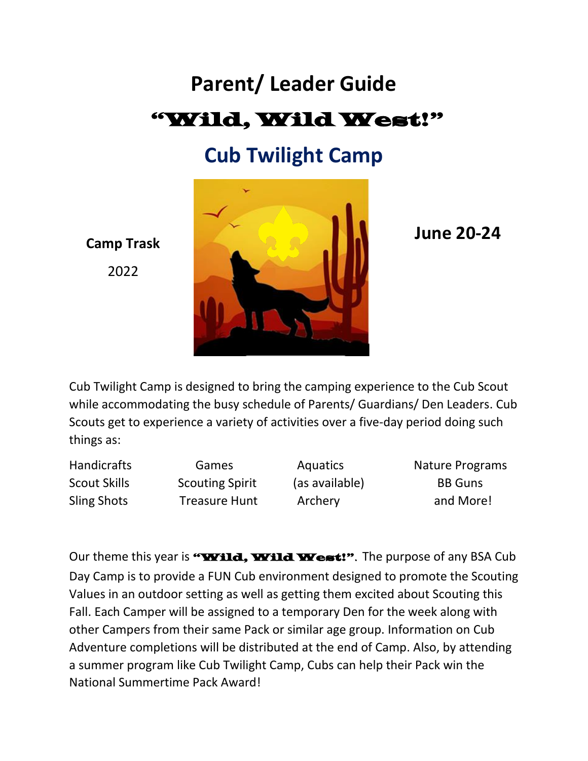# **Parent/ Leader Guide** "Wild, Wild West!"

## **Cub Twilight Camp**



**Camp Trask** 2022

Cub Twilight Camp is designed to bring the camping experience to the Cub Scout while accommodating the busy schedule of Parents/ Guardians/ Den Leaders. Cub Scouts get to experience a variety of activities over a five-day period doing such things as:

Scout Skills Scouting Spirit (as available) BB Guns

Handicrafts Games Aquatics Nature Programs Sling Shots Treasure Hunt Archery and More!

**June 20-24**

Our theme this year is "**Wild, Wild West!**". The purpose of any BSA Cub Day Camp is to provide a FUN Cub environment designed to promote the Scouting Values in an outdoor setting as well as getting them excited about Scouting this Fall. Each Camper will be assigned to a temporary Den for the week along with other Campers from their same Pack or similar age group. Information on Cub Adventure completions will be distributed at the end of Camp. Also, by attending a summer program like Cub Twilight Camp, Cubs can help their Pack win the National Summertime Pack Award!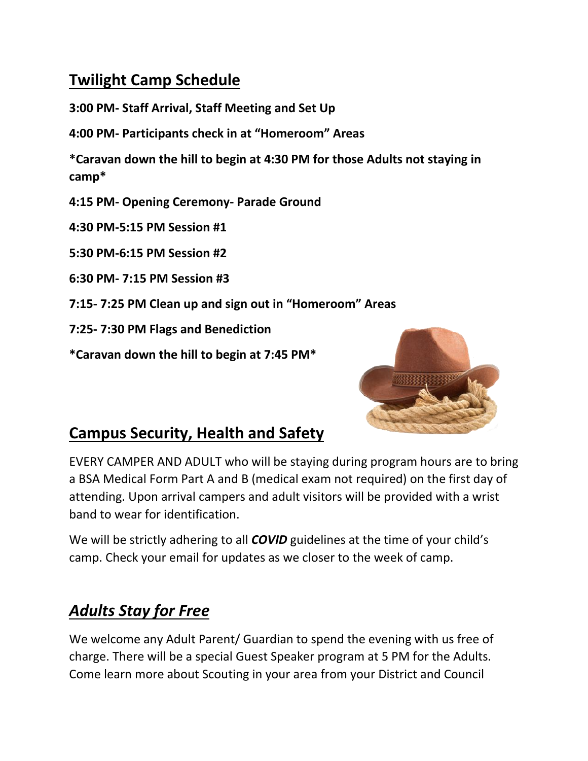## **Twilight Camp Schedule**

**3:00 PM- Staff Arrival, Staff Meeting and Set Up**

**4:00 PM- Participants check in at "Homeroom" Areas**

**\*Caravan down the hill to begin at 4:30 PM for those Adults not staying in camp\***

**4:15 PM- Opening Ceremony- Parade Ground**

**4:30 PM-5:15 PM Session #1**

**5:30 PM-6:15 PM Session #2**

**6:30 PM- 7:15 PM Session #3**

**7:15- 7:25 PM Clean up and sign out in "Homeroom" Areas**

**7:25- 7:30 PM Flags and Benediction** 

**\*Caravan down the hill to begin at 7:45 PM\***



## **Campus Security, Health and Safety**

EVERY CAMPER AND ADULT who will be staying during program hours are to bring a BSA Medical Form Part A and B (medical exam not required) on the first day of attending. Upon arrival campers and adult visitors will be provided with a wrist band to wear for identification.

We will be strictly adhering to all *COVID* guidelines at the time of your child's camp. Check your email for updates as we closer to the week of camp.

## *Adults Stay for Free*

We welcome any Adult Parent/ Guardian to spend the evening with us free of charge. There will be a special Guest Speaker program at 5 PM for the Adults. Come learn more about Scouting in your area from your District and Council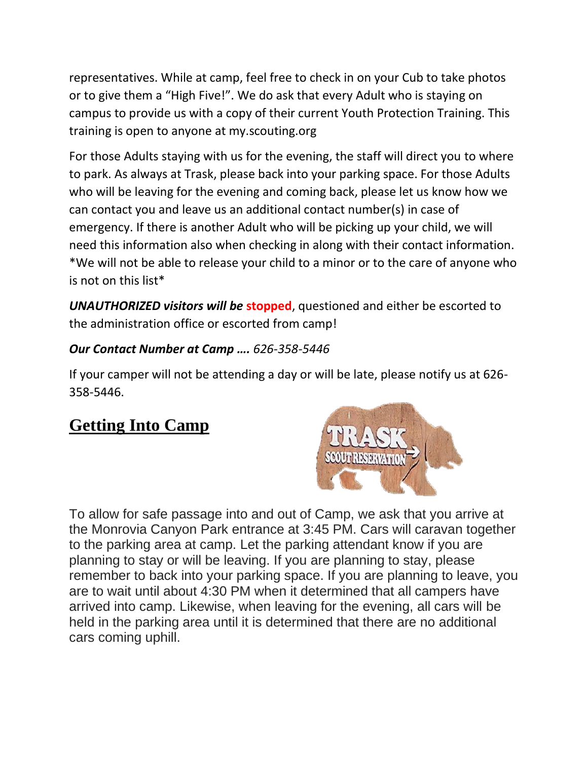representatives. While at camp, feel free to check in on your Cub to take photos or to give them a "High Five!". We do ask that every Adult who is staying on campus to provide us with a copy of their current Youth Protection Training. This training is open to anyone at my.scouting.org

For those Adults staying with us for the evening, the staff will direct you to where to park. As always at Trask, please back into your parking space. For those Adults who will be leaving for the evening and coming back, please let us know how we can contact you and leave us an additional contact number(s) in case of emergency. If there is another Adult who will be picking up your child, we will need this information also when checking in along with their contact information. \*We will not be able to release your child to a minor or to the care of anyone who is not on this list\*

*UNAUTHORIZED visitors will be* **stopped**, questioned and either be escorted to the administration office or escorted from camp!

#### *Our Contact Number at Camp …. 626-358-5446*

If your camper will not be attending a day or will be late, please notify us at 626- 358-5446.

## **Getting Into Camp**



To allow for safe passage into and out of Camp, we ask that you arrive at the Monrovia Canyon Park entrance at 3:45 PM. Cars will caravan together to the parking area at camp. Let the parking attendant know if you are planning to stay or will be leaving. If you are planning to stay, please remember to back into your parking space. If you are planning to leave, you are to wait until about 4:30 PM when it determined that all campers have arrived into camp. Likewise, when leaving for the evening, all cars will be held in the parking area until it is determined that there are no additional cars coming uphill.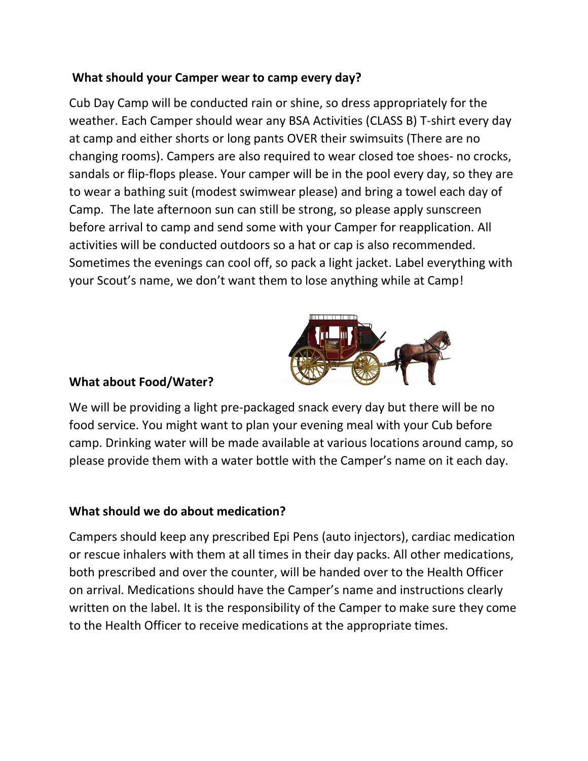#### **What should your Camper wear to camp every day?**

Cub Day Camp will be conducted rain or shine, so dress appropriately for the weather. Each Camper should wear any BSA Activities (CLASS B) T-shirt every day at camp and either shorts or long pants OVER their swimsuits (There are no changing rooms). Campers are also required to wear closed toe shoes- no crocks, sandals or flip-flops please. Your camper will be in the pool every day, so they are to wear a bathing suit (modest swimwear please) and bring a towel each day of Camp. The late afternoon sun can still be strong, so please apply sunscreen before arrival to camp and send some with your Camper for reapplication. All activities will be conducted outdoors so a hat or cap is also recommended. Sometimes the evenings can cool off, so pack a light jacket. Label everything with your Scout's name, we don't want them to lose anything while at Camp!



#### **What about Food/Water?**

We will be providing a light pre-packaged snack every day but there will be no food service. You might want to plan your evening meal with your Cub before camp. Drinking water will be made available at various locations around camp, so please provide them with a water bottle with the Camper's name on it each day.

#### **What should we do about medication?**

Campers should keep any prescribed Epi Pens (auto injectors), cardiac medication or rescue inhalers with them at all times in their day packs. All other medications, both prescribed and over the counter, will be handed over to the Health Officer on arrival. Medications should have the Camper's name and instructions clearly written on the label. It is the responsibility of the Camper to make sure they come to the Health Officer to receive medications at the appropriate times.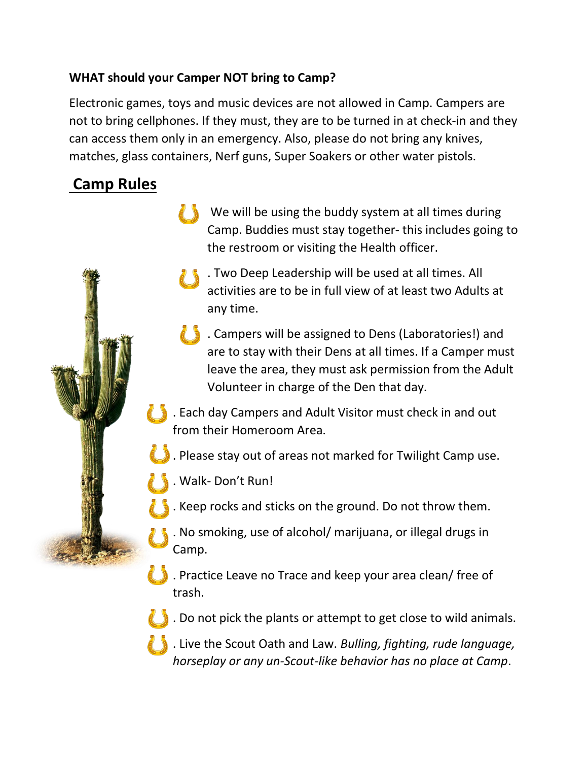#### **WHAT should your Camper NOT bring to Camp?**

Electronic games, toys and music devices are not allowed in Camp. Campers are not to bring cellphones. If they must, they are to be turned in at check-in and they can access them only in an emergency. Also, please do not bring any knives, matches, glass containers, Nerf guns, Super Soakers or other water pistols.

## **Camp Rules**

- We will be using the buddy system at all times during Camp. Buddies must stay together- this includes going to the restroom or visiting the Health officer.
	- . Two Deep Leadership will be used at all times. All activities are to be in full view of at least two Adults at any time.
- . Campers will be assigned to Dens (Laboratories!) and are to stay with their Dens at all times. If a Camper must leave the area, they must ask permission from the Adult Volunteer in charge of the Den that day.
- . Each day Campers and Adult Visitor must check in and out from their Homeroom Area.
- . Please stay out of areas not marked for Twilight Camp use.
- . Walk- Don't Run!
- . Keep rocks and sticks on the ground. Do not throw them.
- . No smoking, use of alcohol/ marijuana, or illegal drugs in Camp.
- . Practice Leave no Trace and keep your area clean/ free of trash.
- . Do not pick the plants or attempt to get close to wild animals.
- . Live the Scout Oath and Law. *Bulling, fighting, rude language, horseplay or any un-Scout-like behavior has no place at Camp*.